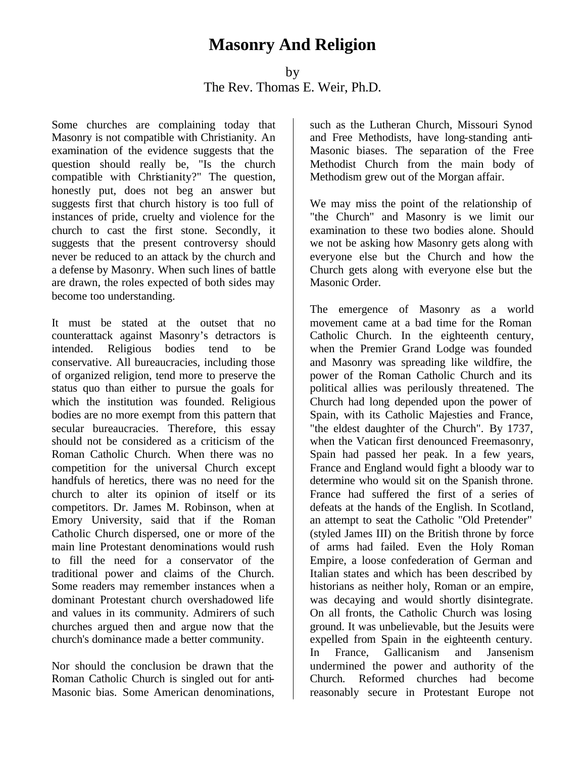## **Masonry And Religion**

by The Rev. Thomas E. Weir, Ph.D.

Some churches are complaining today that Masonry is not compatible with Christianity. An examination of the evidence suggests that the question should really be, "Is the church compatible with Christianity?" The question, honestly put, does not beg an answer but suggests first that church history is too full of instances of pride, cruelty and violence for the church to cast the first stone. Secondly, it suggests that the present controversy should never be reduced to an attack by the church and a defense by Masonry. When such lines of battle are drawn, the roles expected of both sides may become too understanding.

It must be stated at the outset that no counterattack against Masonry's detractors is intended. Religious bodies tend to be conservative. All bureaucracies, including those of organized religion, tend more to preserve the status quo than either to pursue the goals for which the institution was founded. Religious bodies are no more exempt from this pattern that secular bureaucracies. Therefore, this essay should not be considered as a criticism of the Roman Catholic Church. When there was no competition for the universal Church except handfuls of heretics, there was no need for the church to alter its opinion of itself or its competitors. Dr. James M. Robinson, when at Emory University, said that if the Roman Catholic Church dispersed, one or more of the main line Protestant denominations would rush to fill the need for a conservator of the traditional power and claims of the Church. Some readers may remember instances when a dominant Protestant church overshadowed life and values in its community. Admirers of such churches argued then and argue now that the church's dominance made a better community.

Nor should the conclusion be drawn that the Roman Catholic Church is singled out for anti-Masonic bias. Some American denominations, such as the Lutheran Church, Missouri Synod and Free Methodists, have long-standing anti-Masonic biases. The separation of the Free Methodist Church from the main body of Methodism grew out of the Morgan affair.

We may miss the point of the relationship of "the Church" and Masonry is we limit our examination to these two bodies alone. Should we not be asking how Masonry gets along with everyone else but the Church and how the Church gets along with everyone else but the Masonic Order.

The emergence of Masonry as a world movement came at a bad time for the Roman Catholic Church. In the eighteenth century, when the Premier Grand Lodge was founded and Masonry was spreading like wildfire, the power of the Roman Catholic Church and its political allies was perilously threatened. The Church had long depended upon the power of Spain, with its Catholic Majesties and France, "the eldest daughter of the Church". By 1737, when the Vatican first denounced Freemasonry, Spain had passed her peak. In a few years, France and England would fight a bloody war to determine who would sit on the Spanish throne. France had suffered the first of a series of defeats at the hands of the English. In Scotland, an attempt to seat the Catholic "Old Pretender" (styled James III) on the British throne by force of arms had failed. Even the Holy Roman Empire, a loose confederation of German and Italian states and which has been described by historians as neither holy, Roman or an empire, was decaying and would shortly disintegrate. On all fronts, the Catholic Church was losing ground. It was unbelievable, but the Jesuits were expelled from Spain in the eighteenth century. In France, Gallicanism and Jansenism undermined the power and authority of the Church. Reformed churches had become reasonably secure in Protestant Europe not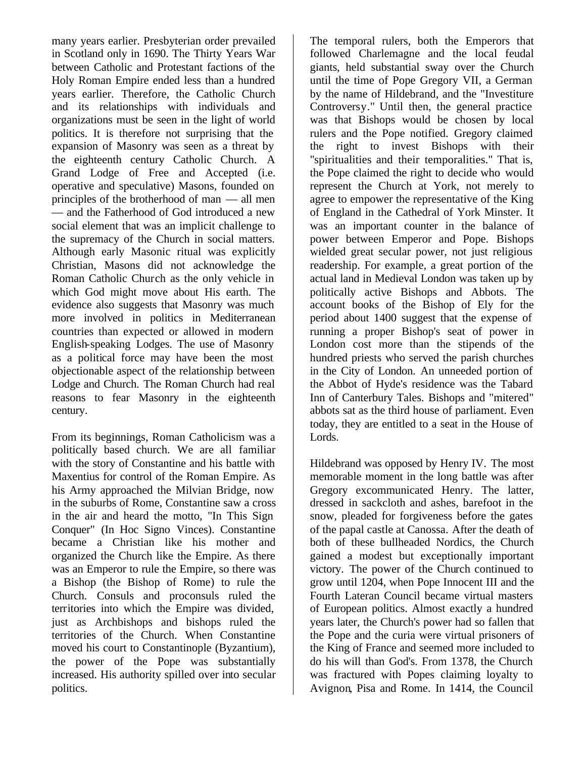many years earlier. Presbyterian order prevailed in Scotland only in 1690. The Thirty Years War between Catholic and Protestant factions of the Holy Roman Empire ended less than a hundred years earlier. Therefore, the Catholic Church and its relationships with individuals and organizations must be seen in the light of world politics. It is therefore not surprising that the expansion of Masonry was seen as a threat by the eighteenth century Catholic Church. A Grand Lodge of Free and Accepted (i.e. operative and speculative) Masons, founded on principles of the brotherhood of man — all men — and the Fatherhood of God introduced a new social element that was an implicit challenge to the supremacy of the Church in social matters. Although early Masonic ritual was explicitly Christian, Masons did not acknowledge the Roman Catholic Church as the only vehicle in which God might move about His earth. The evidence also suggests that Masonry was much more involved in politics in Mediterranean countries than expected or allowed in modern English-speaking Lodges. The use of Masonry as a political force may have been the most objectionable aspect of the relationship between Lodge and Church. The Roman Church had real reasons to fear Masonry in the eighteenth century.

From its beginnings, Roman Catholicism was a politically based church. We are all familiar with the story of Constantine and his battle with Maxentius for control of the Roman Empire. As his Army approached the Milvian Bridge, now in the suburbs of Rome, Constantine saw a cross in the air and heard the motto, "In This Sign Conquer" (In Hoc Signo Vinces). Constantine became a Christian like his mother and organized the Church like the Empire. As there was an Emperor to rule the Empire, so there was a Bishop (the Bishop of Rome) to rule the Church. Consuls and proconsuls ruled the territories into which the Empire was divided, just as Archbishops and bishops ruled the territories of the Church. When Constantine moved his court to Constantinople (Byzantium), the power of the Pope was substantially increased. His authority spilled over into secular politics.

The temporal rulers, both the Emperors that followed Charlemagne and the local feudal giants, held substantial sway over the Church until the time of Pope Gregory VII, a German by the name of Hildebrand, and the "Investiture Controversy." Until then, the general practice was that Bishops would be chosen by local rulers and the Pope notified. Gregory claimed the right to invest Bishops with their "spiritualities and their temporalities." That is, the Pope claimed the right to decide who would represent the Church at York, not merely to agree to empower the representative of the King of England in the Cathedral of York Minster. It was an important counter in the balance of power between Emperor and Pope. Bishops wielded great secular power, not just religious readership. For example, a great portion of the actual land in Medieval London was taken up by politically active Bishops and Abbots. The account books of the Bishop of Ely for the period about 1400 suggest that the expense of running a proper Bishop's seat of power in London cost more than the stipends of the hundred priests who served the parish churches in the City of London. An unneeded portion of the Abbot of Hyde's residence was the Tabard Inn of Canterbury Tales. Bishops and "mitered" abbots sat as the third house of parliament. Even today, they are entitled to a seat in the House of Lords.

Hildebrand was opposed by Henry IV. The most memorable moment in the long battle was after Gregory excommunicated Henry. The latter, dressed in sackcloth and ashes, barefoot in the snow, pleaded for forgiveness before the gates of the papal castle at Canossa. After the death of both of these bullheaded Nordics, the Church gained a modest but exceptionally important victory. The power of the Church continued to grow until 1204, when Pope Innocent III and the Fourth Lateran Council became virtual masters of European politics. Almost exactly a hundred years later, the Church's power had so fallen that the Pope and the curia were virtual prisoners of the King of France and seemed more included to do his will than God's. From 1378, the Church was fractured with Popes claiming loyalty to Avignon, Pisa and Rome. In 1414, the Council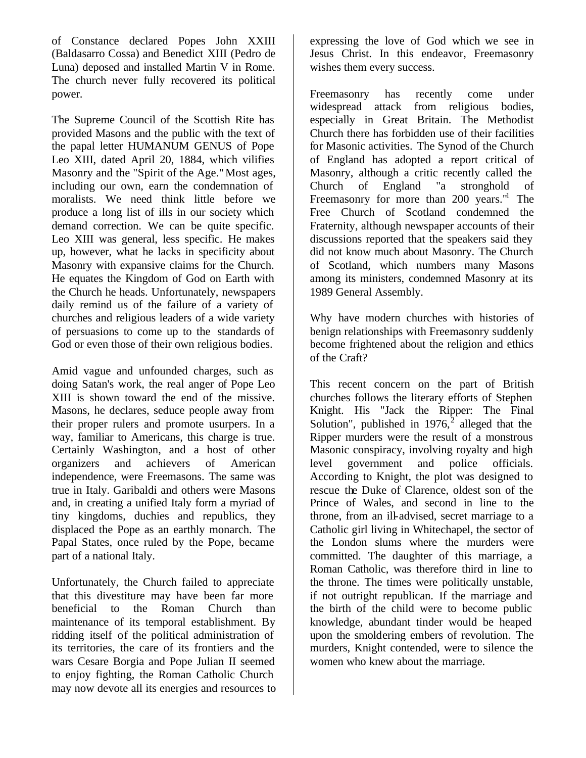of Constance declared Popes John XXIII (Baldasarro Cossa) and Benedict XIII (Pedro de Luna) deposed and installed Martin V in Rome. The church never fully recovered its political power.

The Supreme Council of the Scottish Rite has provided Masons and the public with the text of the papal letter HUMANUM GENUS of Pope Leo XIII, dated April 20, 1884, which vilifies Masonry and the "Spirit of the Age."Most ages, including our own, earn the condemnation of moralists. We need think little before we produce a long list of ills in our society which demand correction. We can be quite specific. Leo XIII was general, less specific. He makes up, however, what he lacks in specificity about Masonry with expansive claims for the Church. He equates the Kingdom of God on Earth with the Church he heads. Unfortunately, newspapers daily remind us of the failure of a variety of churches and religious leaders of a wide variety of persuasions to come up to the standards of God or even those of their own religious bodies.

Amid vague and unfounded charges, such as doing Satan's work, the real anger of Pope Leo XIII is shown toward the end of the missive. Masons, he declares, seduce people away from their proper rulers and promote usurpers. In a way, familiar to Americans, this charge is true. Certainly Washington, and a host of other organizers and achievers of American independence, were Freemasons. The same was true in Italy. Garibaldi and others were Masons and, in creating a unified Italy form a myriad of tiny kingdoms, duchies and republics, they displaced the Pope as an earthly monarch. The Papal States, once ruled by the Pope, became part of a national Italy.

Unfortunately, the Church failed to appreciate that this divestiture may have been far more beneficial to the Roman Church than maintenance of its temporal establishment. By ridding itself of the political administration of its territories, the care of its frontiers and the wars Cesare Borgia and Pope Julian II seemed to enjoy fighting, the Roman Catholic Church may now devote all its energies and resources to expressing the love of God which we see in Jesus Christ. In this endeavor, Freemasonry wishes them every success.

Freemasonry has recently come under widespread attack from religious bodies, especially in Great Britain. The Methodist Church there has forbidden use of their facilities for Masonic activities. The Synod of the Church of England has adopted a report critical of Masonry, although a critic recently called the Church of England "a stronghold of Freemasonry for more than 200 years.<sup>"1</sup> The Free Church of Scotland condemned the Fraternity, although newspaper accounts of their discussions reported that the speakers said they did not know much about Masonry. The Church of Scotland, which numbers many Masons among its ministers, condemned Masonry at its 1989 General Assembly.

Why have modern churches with histories of benign relationships with Freemasonry suddenly become frightened about the religion and ethics of the Craft?

This recent concern on the part of British churches follows the literary efforts of Stephen Knight. His "Jack the Ripper: The Final Solution", published in  $1976$ <sup>2</sup> alleged that the Ripper murders were the result of a monstrous Masonic conspiracy, involving royalty and high level government and police officials. According to Knight, the plot was designed to rescue the Duke of Clarence, oldest son of the Prince of Wales, and second in line to the throne, from an ill-advised, secret marriage to a Catholic girl living in Whitechapel, the sector of the London slums where the murders were committed. The daughter of this marriage, a Roman Catholic, was therefore third in line to the throne. The times were politically unstable, if not outright republican. If the marriage and the birth of the child were to become public knowledge, abundant tinder would be heaped upon the smoldering embers of revolution. The murders, Knight contended, were to silence the women who knew about the marriage.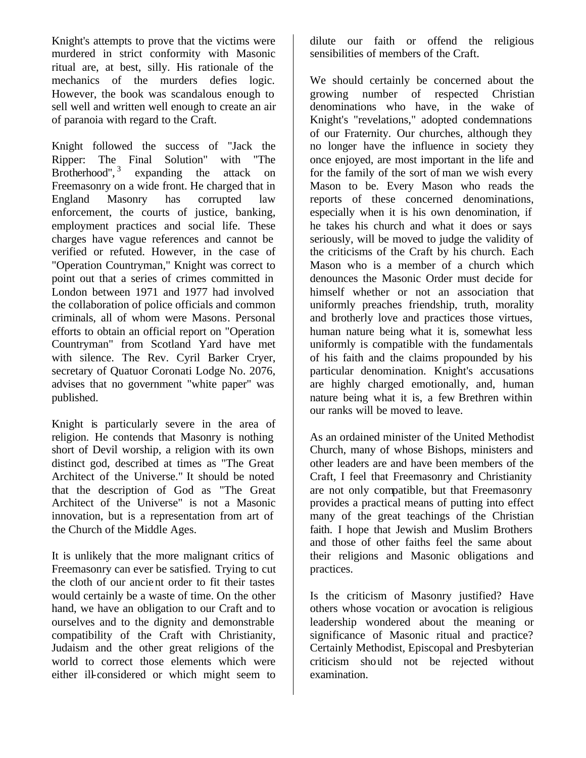Knight's attempts to prove that the victims were murdered in strict conformity with Masonic ritual are, at best, silly. His rationale of the mechanics of the murders defies logic. However, the book was scandalous enough to sell well and written well enough to create an air of paranoia with regard to the Craft.

Knight followed the success of "Jack the Ripper: The Final Solution" with "The Brotherhood",<sup>3</sup> expanding the attack on Freemasonry on a wide front. He charged that in England Masonry has corrupted law enforcement, the courts of justice, banking, employment practices and social life. These charges have vague references and cannot be verified or refuted. However, in the case of "Operation Countryman," Knight was correct to point out that a series of crimes committed in London between 1971 and 1977 had involved the collaboration of police officials and common criminals, all of whom were Masons. Personal efforts to obtain an official report on "Operation Countryman" from Scotland Yard have met with silence. The Rev. Cyril Barker Cryer, secretary of Quatuor Coronati Lodge No. 2076, advises that no government "white paper" was published.

Knight is particularly severe in the area of religion. He contends that Masonry is nothing short of Devil worship, a religion with its own distinct god, described at times as "The Great Architect of the Universe." It should be noted that the description of God as "The Great Architect of the Universe" is not a Masonic innovation, but is a representation from art of the Church of the Middle Ages.

It is unlikely that the more malignant critics of Freemasonry can ever be satisfied. Trying to cut the cloth of our ancient order to fit their tastes would certainly be a waste of time. On the other hand, we have an obligation to our Craft and to ourselves and to the dignity and demonstrable compatibility of the Craft with Christianity, Judaism and the other great religions of the world to correct those elements which were either ill-considered or which might seem to dilute our faith or offend the religious sensibilities of members of the Craft.

We should certainly be concerned about the growing number of respected Christian denominations who have, in the wake of Knight's "revelations," adopted condemnations of our Fraternity. Our churches, although they no longer have the influence in society they once enjoyed, are most important in the life and for the family of the sort of man we wish every Mason to be. Every Mason who reads the reports of these concerned denominations, especially when it is his own denomination, if he takes his church and what it does or says seriously, will be moved to judge the validity of the criticisms of the Craft by his church. Each Mason who is a member of a church which denounces the Masonic Order must decide for himself whether or not an association that uniformly preaches friendship, truth, morality and brotherly love and practices those virtues, human nature being what it is, somewhat less uniformly is compatible with the fundamentals of his faith and the claims propounded by his particular denomination. Knight's accusations are highly charged emotionally, and, human nature being what it is, a few Brethren within our ranks will be moved to leave.

As an ordained minister of the United Methodist Church, many of whose Bishops, ministers and other leaders are and have been members of the Craft, I feel that Freemasonry and Christianity are not only compatible, but that Freemasonry provides a practical means of putting into effect many of the great teachings of the Christian faith. I hope that Jewish and Muslim Brothers and those of other faiths feel the same about their religions and Masonic obligations and practices.

Is the criticism of Masonry justified? Have others whose vocation or avocation is religious leadership wondered about the meaning or significance of Masonic ritual and practice? Certainly Methodist, Episcopal and Presbyterian criticism should not be rejected without examination.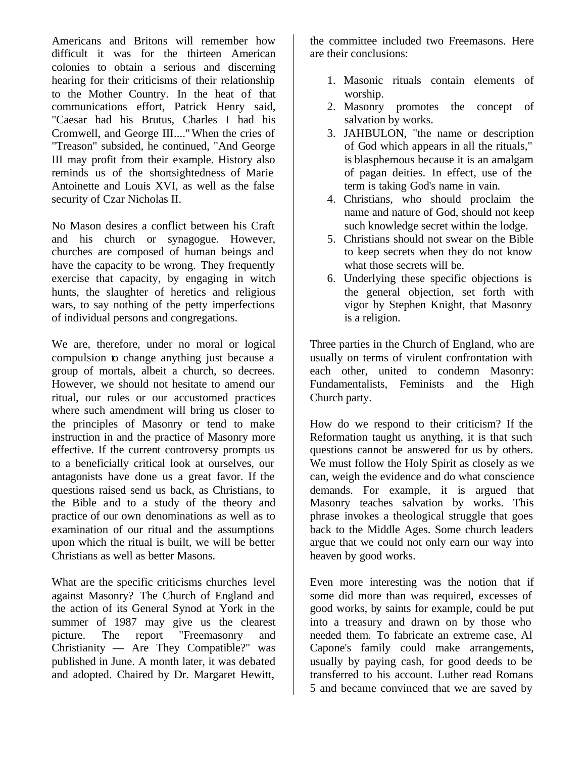Americans and Britons will remember how difficult it was for the thirteen American colonies to obtain a serious and discerning hearing for their criticisms of their relationship to the Mother Country. In the heat of that communications effort, Patrick Henry said, "Caesar had his Brutus, Charles I had his Cromwell, and George III...."When the cries of "Treason" subsided, he continued, "And George III may profit from their example. History also reminds us of the shortsightedness of Marie Antoinette and Louis XVI, as well as the false security of Czar Nicholas II.

No Mason desires a conflict between his Craft and his church or synagogue. However, churches are composed of human beings and have the capacity to be wrong. They frequently exercise that capacity, by engaging in witch hunts, the slaughter of heretics and religious wars, to say nothing of the petty imperfections of individual persons and congregations.

We are, therefore, under no moral or logical compulsion to change anything just because a group of mortals, albeit a church, so decrees. However, we should not hesitate to amend our ritual, our rules or our accustomed practices where such amendment will bring us closer to the principles of Masonry or tend to make instruction in and the practice of Masonry more effective. If the current controversy prompts us to a beneficially critical look at ourselves, our antagonists have done us a great favor. If the questions raised send us back, as Christians, to the Bible and to a study of the theory and practice of our own denominations as well as to examination of our ritual and the assumptions upon which the ritual is built, we will be better Christians as well as better Masons.

What are the specific criticisms churches level against Masonry? The Church of England and the action of its General Synod at York in the summer of 1987 may give us the clearest picture. The report "Freemasonry and Christianity — Are They Compatible?" was published in June. A month later, it was debated and adopted. Chaired by Dr. Margaret Hewitt,

the committee included two Freemasons. Here are their conclusions:

- 1. Masonic rituals contain elements of worship.
- 2. Masonry promotes the concept of salvation by works.
- 3. JAHBULON, "the name or description of God which appears in all the rituals," is blasphemous because it is an amalgam of pagan deities. In effect, use of the term is taking God's name in vain.
- 4. Christians, who should proclaim the name and nature of God, should not keep such knowledge secret within the lodge.
- 5. Christians should not swear on the Bible to keep secrets when they do not know what those secrets will be.
- 6. Underlying these specific objections is the general objection, set forth with vigor by Stephen Knight, that Masonry is a religion.

Three parties in the Church of England, who are usually on terms of virulent confrontation with each other, united to condemn Masonry: Fundamentalists, Feminists and the High Church party.

How do we respond to their criticism? If the Reformation taught us anything, it is that such questions cannot be answered for us by others. We must follow the Holy Spirit as closely as we can, weigh the evidence and do what conscience demands. For example, it is argued that Masonry teaches salvation by works. This phrase invokes a theological struggle that goes back to the Middle Ages. Some church leaders argue that we could not only earn our way into heaven by good works.

Even more interesting was the notion that if some did more than was required, excesses of good works, by saints for example, could be put into a treasury and drawn on by those who needed them. To fabricate an extreme case, Al Capone's family could make arrangements, usually by paying cash, for good deeds to be transferred to his account. Luther read Romans 5 and became convinced that we are saved by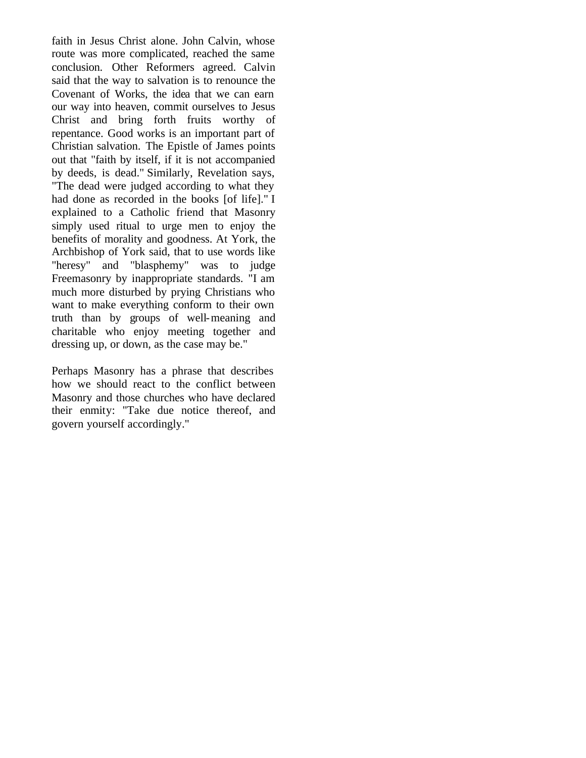faith in Jesus Christ alone. John Calvin, whose route was more complicated, reached the same conclusion. Other Reformers agreed. Calvin said that the way to salvation is to renounce the Covenant of Works, the idea that we can earn our way into heaven, commit ourselves to Jesus Christ and bring forth fruits worthy of repentance. Good works is an important part of Christian salvation. The Epistle of James points out that "faith by itself, if it is not accompanied by deeds, is dead." Similarly, Revelation says, "The dead were judged according to what they had done as recorded in the books [of life]." I explained to a Catholic friend that Masonry simply used ritual to urge men to enjoy the benefits of morality and goodness. At York, the Archbishop of York said, that to use words like "heresy" and "blasphemy" was to judge Freemasonry by inappropriate standards. "I am much more disturbed by prying Christians who want to make everything conform to their own truth than by groups of well-meaning and charitable who enjoy meeting together and dressing up, or down, as the case may be."

Perhaps Masonry has a phrase that describes how we should react to the conflict between Masonry and those churches who have declared their enmity: "Take due notice thereof, and govern yourself accordingly."